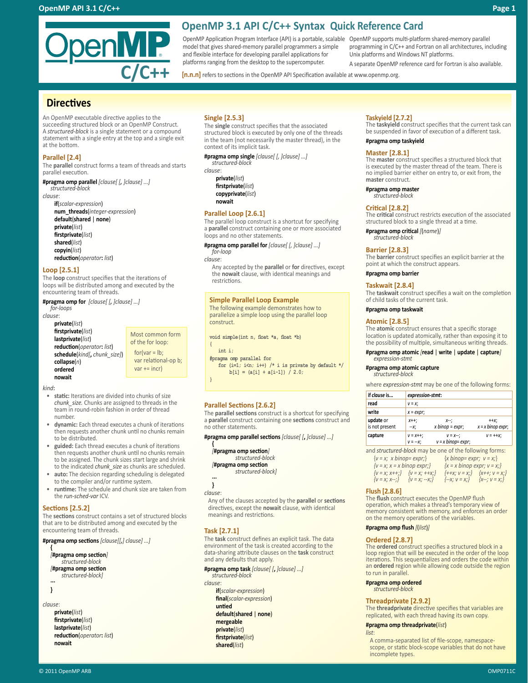# **OpenMP 3.1 API C/C++ Syntax Quick Reference Card**

OpenMP Application Program Interface (API) is a portable, scalable OpenMP supports multi-platform shared-memory parallel model that gives shared-memory parallel programmers a simple and flexible interface for developing parallel applications for platforms ranging from the desktop to the supercomputer.

**[n.n.n]** refers to sections in the OpenMP API Specification available at www.openmp.org.

# **Directives**

An OpenMP executable directive applies to the succeeding structured block or an OpenMP Construct. A *structured-block* is a single statement or a compound statement with a single entry at the top and a single exit at the bottom.

enMP

**C/C++** 

## **Parallel [2.4]**

The **parallel** construct forms a team of threads and starts parallel execution.

**#pragma omp parallel** *[clause[ [, ]clause] ...] structured-block*

*clause*:

**if**(*scalar-expression*) **num\_threads**(*integer-expression*) **default**(**shared** | **none**) **private**(*list*) **firstprivate**(*list*) **shared**(*list*) **copyin**(*list*) **reduction**(*operator***:** *list*)

### **Loop [2.5.1]**

The **loop** construct specifies that the iterations of loops will be distributed among and executed by the encountering team of threads.

**#pragma omp for** *[clause[ [, ]clause] ...] for-loops*

```
clause:
```
**private**(*list*) **firstprivate**(*list*) **lastprivate**(*list*) **reduction**(*operator***:** *list*) **schedule**(*kind[***,** *chunk\_size]*) **collapse**(*n*) **ordered nowait** 

Most common form of the for loop:  $for(var = lb)$ : var relational-op b;  $var += incr$ 

*kind***:**

- static: Iterations are divided into chunks of size *chunk\_size.* Chunks are assigned to threads in the team in round-robin fashion in order of thread number.
- **dynamic:** Each thread executes a chunk of iterations then requests another chunk until no chunks remain to be distributed.
- **guided:** Each thread executes a chunk of iterations then requests another chunk until no chunks remain to be assigned. The chunk sizes start large and shrink to the indicated *chunk\_size* as chunks are scheduled.
- **auto:** The decision regarding scheduling is delegated to the compiler and/or runtime system.
- **runtime:** The schedule and chunk size are taken from the *run-sched-var* ICV.

## **Sections [2.5.2]**

The **sections** construct contains a set of structured blocks that are to be distributed among and executed by the encountering team of threads.

**#pragma omp sections** *[clause[[,] clause] ...]* 

**{** *[***#pragma omp section***] structured-block [***#pragma omp section**  *structured-block]* **...**

**}**

*clause*:

**private**(*list*) **firstprivate**(*list*) **lastprivate**(*list*) **reduction**(*operator***:** *list*) **nowait**

# **Single [2.5.3]**

The **single** construct specifies that the associated structured block is executed by only one of the threads in the team (not necessarily the master thread), in the context of its implicit task.

**#pragma omp single** *[clause[ [, ]clause] ...]* 

#### *structured-block clause*:

**private**(*list*) **firstprivate**(*list*) **copyprivate**(*list*) **nowait**

### **Parallel Loop [2.6.1]**

The parallel loop construct is a shortcut for specifying a **parallel** construct containing one or more associated loops and no other statements.

**#pragma omp parallel for** *[clause[ [, ]clause] ...] for-loop*

### *clause*:

Any accepted by the **parallel** or **for** directives, except the **nowait** clause, with identical meanings and restrictions.

# **Simple Parallel Loop Example**

The following example demonstrates how to parallelize a simple loop using the parallel loop construct.

**void simple(int n, float \*a, float \*b)**

```
int i;
```
**{**

**}**

**#pragma omp parallel for** for (i=1; i<n; i++) /\* i is private by default \*/  $\hspace{0.025cm}$ 

**b[i] = (a[i] + a[i-1]) / 2.0;**

**Parallel Sections [2.6.2]**<br>The **parallel sections** construct is a shortcut for specifying a parallel construct containing one sections construct and no other statements.

**#pragma omp parallel sections** *[clause[ [***,** *]clause] ...]* 

### **{** *[***#pragma omp section***] structured-block*

*[***#pragma omp section**

# *structured-block]* **...**

**}**

*clause*:

Any of the clauses accepted by the **parallel** or **sections** directives, except the **nowait** clause, with identical meanings and restrictions.

# **Task [2.7.1]**

The **task** construct defines an explicit task. The data environment of the task is created according to the data-sharing attribute clauses on the **task** construct and any defaults that apply.

# **#pragma omp task** *[clause[ [***,** *]clause] ...]*

*structured-block clause*: **if**(*scalar-expression*) **final**(*scalar-expression*) **untied default**(**shared** | **none**) **mergeable private**(*list*) **firstprivate**(*list*) **shared**(*list*)

# **Taskyield [2.7.2]**

Unix platforms and Windows NT platforms.

The **taskyield** construct specifies that the current task can be suspended in favor of execution of a different task. **#pragma omp taskyield** 

programming in C/C++ and Fortran on all architectures, including

A separate OpenMP reference card for Fortran is also available.

**Master [2.8.1]** The **master** construct specifies a structured block that is executed by the master thread of the team. There is no implied barrier either on entry to, or exit from, the **master** construct.

**#pragma omp master** *structured-block*

# **Critical [2.8.2]**

The **critical** construct restricts execution of the associated structured block to a single thread at a time.

**#pragma omp critical** *[*(*name*)*] structured-block*

### **Barrier [2.8.3]**

The **barrier** construct specifies an explicit barrier at the point at which the construct appears.

**#pragma omp barrier** 

### **Taskwait [2.8.4]**

The **taskwait** construct specifies a wait on the completion of child tasks of the current task.

### **#pragma omp taskwait**

### **Atomic [2.8.5]**

The **atomic** construct ensures that a specific storage location is updated atomically, rather than exposing it to the possibility of multiple, simultaneous writing threads.

#### **#pragma omp atomic** *[***read** | **write** | **update** | **capture***] expression-stmt*

# **#pragma omp atomic capture**

*structured-block*

where *expression-stmt* may be one of the following forms:

| if clause is                | expression-stmt:       |                                             |                                |
|-----------------------------|------------------------|---------------------------------------------|--------------------------------|
| read                        | $V = X$ :              |                                             |                                |
| write                       | $x = expr$ ;           |                                             |                                |
| update or<br>is not present | $X++$ :<br>--х;        | $X-1$<br>$x \text{ binop} = \text{expr};$   | $+ + X$<br>$x = x$ binop expr; |
| capture                     | $V = X++;$<br>$V = -X$ | $V = X^{--}$ ;<br>$v = x \, binop = expr$ ; | $V = ++X$                      |

and *structured-block* may be one of the following forms:

| ${v = x; x \text{ binop} = \text{expr}}$ | $\{x \text{ binop} = \text{expr}; v = x\}$ |
|------------------------------------------|--------------------------------------------|
| ${v = x; x = x \text{ binop} \exp{r}}$   | $\{x = x \text{ binop} \exp r; v = x\}$    |
| $\{v = x; x++; \}$ $\{v = x; ++x; \}$    | $\{++x; v = x; \}$ $\{x++; v = x; \}$      |
| ${v = x; x--;}$<br>${V = X; -X;}$        | $\{-x; v = x\}$<br>$\{X^{-1}, V = X\}$     |

# **Flush [2.8.6]**

The **flush** construct executes the OpenMP flush operation, which makes a thread's temporary view of memory consistent with memory, and enforces an order on the memory operations of the variables.

**#pragma omp flush** *[*(*list*)*]* 

# **Ordered [2.8.7]**

The **ordered** construct specifies a structured block in a loop region that will be executed in the order of the loop iterations. This sequentializes and orders the code within an **ordered** region while allowing code outside the region to run in parallel.

**#pragma omp ordered** *structured-block*

# **Threadprivate [2.9.2]**

The **threadprivate** directive specifies that variables are replicated, with each thread having its own copy.

**#pragma omp threadprivate**(*list*)

#### *list*:

A comma-separated list of file-scope, namespacescope, or static block-scope variables that do not have incomplete types.